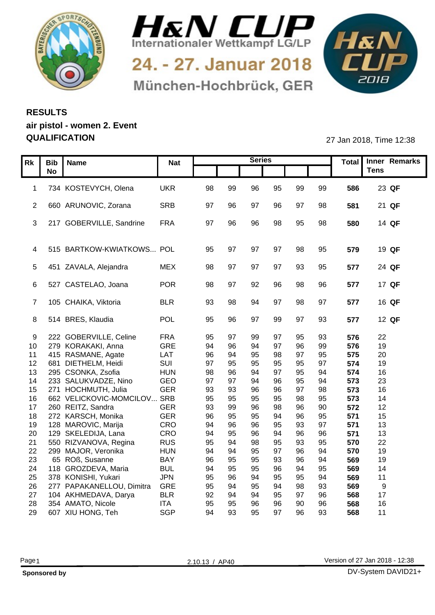



24. - 27. Januar 2018 München-Hochbrück, GER



## **RESULTS air pistol - women 2. Event QUALIFICATION** 27 Jan 2018, Time 12:38

|    | Rk   Bib   Name                |            |     |                | <b>Series</b> |    |                |    |     | Total Inner Remarks |
|----|--------------------------------|------------|-----|----------------|---------------|----|----------------|----|-----|---------------------|
|    | <b>No</b>                      | <b>Nat</b> |     |                |               |    |                |    |     | <b>Tens</b>         |
|    |                                |            |     |                |               |    |                |    |     |                     |
|    | 1 734 KOSTEVYCH, Olena         | <b>UKR</b> | 98  | 99             | 96            | 95 | 99             | 99 | 586 | 23 QF               |
|    |                                |            |     |                |               |    |                |    |     |                     |
|    | 2 660 ARUNOVIC, Zorana         | SRB        | 97  | 96             | -97           | 96 | 97             | 98 | 581 | 21 QF               |
|    |                                |            |     |                |               |    |                |    |     |                     |
|    | 3 217 GOBERVILLE, Sandrine     | <b>FRA</b> | 97  | 96             | 96            | 98 | 95             | 98 | 580 | 14 QF               |
|    |                                |            |     |                |               |    |                |    |     |                     |
|    |                                |            |     |                |               |    |                |    |     |                     |
|    | 4 515 BARTKOW-KWIATKOWS POL    |            | 95  | - 97           | -97           | 97 | 98             | 95 | 579 | 19 QF               |
|    |                                |            |     |                |               |    |                |    |     |                     |
|    | 5 451 ZAVALA, Alejandra        | <b>MEX</b> | -98 |                | .97           | 97 | 93             | 95 | 577 | 24 QF               |
|    |                                |            |     |                |               |    |                |    |     |                     |
|    | 6 527 CASTELAO, Joana          | POR        | -98 | - 97           | 92            | 96 | 98             | 96 | 577 | 17 QF               |
|    |                                |            |     |                |               |    |                |    |     |                     |
|    | 7 105 CHAIKA, Viktoria         | <b>BLR</b> | 93  | 98             | 94            | 97 | 98             | 97 | 577 | 16 QF               |
|    | 8 514 BRES, Klaudia            | POL        |     |                | 97            |    | 97             |    |     | 12 QF               |
|    |                                |            | 95  | 96             |               | 99 |                | 93 | 577 |                     |
|    | 9 222 GOBERVILLE, Celine       | <b>FRA</b> | 95  |                | qc            | 97 |                | 93 | 576 | 22                  |
|    | 10 279 KORAKAKI, Anna          | GRE        | 94  | 96             | .94           | 97 | 96             | 99 | 576 | 19                  |
|    | 11 415 RASMANE, Agate          | LAT        | 96  |                | 95            | 98 | Q <sub>7</sub> | 95 | 575 | 20                  |
|    | 12 681 DIETHELM, Heidi         | SUI        | 97  | 95             | 95            | 95 | 95             | 97 | 574 | 19                  |
|    | 13 295 CSONKA, Zsofia          | <b>HUN</b> | 98  | 96             |               | 97 | 95             | 94 | 574 | 16                  |
| 14 | 233 SALUKVADZE, Nino           | GEO        | 97  | Q <sub>7</sub> |               | 96 | 95             | 94 | 573 | 23                  |
|    | 15 271 HOCHMUTH, Julia         | <b>GER</b> | 93  | 93             | 96            | 96 | Q <sub>7</sub> | 98 | 573 | 16                  |
|    | 16 662 VELICKOVIC-MOMCILOV SRB |            | 95  | 95             | 95            | 95 |                | 95 | 573 | 14                  |
|    | 17 260 REITZ, Sandra           | GER        | 93  | 99             | 96            | 98 | 96             | 90 | 572 | 12                  |
|    | 18 272 KARSCH, Monika          | <b>GER</b> | 96  | 95             | 95            | 94 | 96             | 95 | 571 | 15                  |
|    | 19 128 MAROVIC, Marija         | CRO        | 94  | 96             | 96            | 95 | 93             | 97 | 571 | 13                  |
| 20 | 129 SKELEDIJA, Lana            | CRO        | 94  | 95             | 96            | 94 | 96             | 96 | 571 | 13                  |
| 21 | 550 RIZVANOVA, Regina          | <b>RUS</b> | 95  | 94             | 98            | 95 | 93             | 95 | 570 | 22                  |
|    | 22 299 MAJOR, Veronika         | <b>HUN</b> | 94  | 94             | 95            | 97 | 96             | 94 | 570 | 19                  |
| 23 | 65 ROß, Susanne                | <b>BAY</b> | 96  | 95             | 95            | 93 | 96             | 94 | 569 | 19                  |
| 24 | 118 GROZDEVA, Maria            | <b>BUL</b> | 94  | 95             | 95            | 96 |                | 95 | 569 | 14                  |
|    | 25 378 KONISHI, Yukari         | <b>JPN</b> | 95  | 96             | 94            | 95 | 95             | 94 | 569 | 11                  |
|    | 26 277 PAPAKANELLOU, Dimitra   | GRE        | 95  | -94            | 95            | 94 | 98             | 93 | 569 | $\alpha$            |
|    | 27 104 AKHMEDAVA, Darya        | <b>BLR</b> | 92  |                | 94            | 95 | 97             | 96 | 568 | 17                  |
| 28 | 354 AMATO, Nicole              | <b>ITA</b> | 95  | 95             | 96            | 96 | 90             | 96 | 568 | 16                  |
|    | 29 607 XIU HONG, Teh           | SGP        | 94  | 93             | 95            | 97 | 96             | 93 | 568 | 11                  |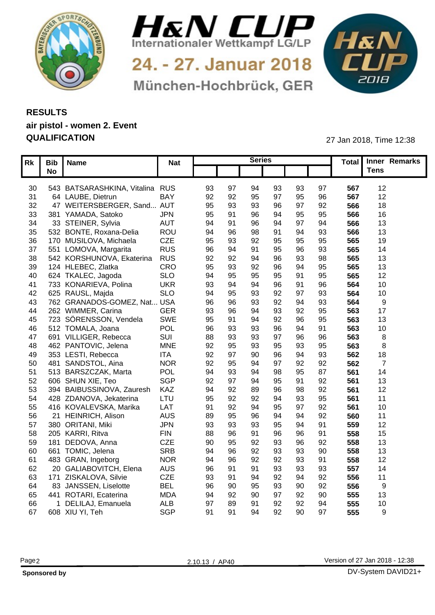



24. - 27. Januar 2018 München-Hochbrück, GER



## **RESULTS air pistol - women 2. Event QUALIFICATION** 27 Jan 2018, Time 12:38

|                 | Rk   Bib   Name                    | <b>Nat</b> |                 |     | <b>Series</b> |                |    |                 | Total Inner Remarks |
|-----------------|------------------------------------|------------|-----------------|-----|---------------|----------------|----|-----------------|---------------------|
|                 | <b>No</b>                          |            |                 |     |               |                |    |                 | <b>Tens</b>         |
|                 |                                    |            |                 |     |               |                |    |                 |                     |
|                 | 30 543 BATSARASHKINA, Vitalina RUS |            | 93<br>-97       | .94 | 93            | 93             | 97 | 567             | 12                  |
| 31              | 64 LAUBE, Dietrun                  | BAY        | 92<br>92        | 95  | 97            | 95             | 96 | 567             | 12 <sup>°</sup>     |
| 32 <sup>2</sup> | 47 WEITERSBERGER, Sand AUT         |            | 95<br>93        | 93  | 96            |                | 92 | 566             | 18                  |
| 33              | 381 YAMADA, Satoko                 | <b>JPN</b> | 95              | 96  | 94            | 95             | 95 | 566             | 16                  |
| 34              | 33 STEINER, Sylvia                 | <b>AUT</b> | 94              |     | ۹۷            | 97             | 94 | 566             | 13 <sup>°</sup>     |
| 35              | 532 BONTE, Roxana-Delia            | ROU        | 94<br>96        | 98  |               |                | 93 | 566             | 13                  |
| 36              | 170 MUSILOVA, Michaela             | <b>CZE</b> | 95<br>93        | 92  | 95            | 95             | 95 | 565             | 19                  |
| 37              | 551 LOMOVA, Margarita              | <b>RUS</b> | 96              |     | 95            |                | 93 | 565             | 14                  |
| 38              | 542 KORSHUNOVA, Ekaterina          | <b>RUS</b> | 92<br>92        |     | 96            | 93             | 98 | 565             | 13                  |
| 39              | 124 HLEBEC, Zlatka                 | CRO        | 95<br>93        | 92  | 96            | 94             | 95 | 565             | 13                  |
| 40              | 624 TKALEC, Jagoda                 | <b>SLO</b> | 94<br>95        | 95  | 95            |                | 95 | 565             | 12                  |
| 41              | 733 KONARIEVA, Polina              | <b>UKR</b> | 93              |     | 96            |                | 96 | 56              | 10                  |
| 42              | 625 RAUSL, Majda                   | <b>SLO</b> | 94<br>95        | 93  | 92            | Q <sub>7</sub> | 93 | 564             | 10                  |
| 43              | 762 GRANADOS-GOMEZ, Nat USA        |            | 96<br>96        | 93  | 92            |                | 93 | 564             |                     |
| 44              | 262 WIMMER, Carina                 | <b>GER</b> | 93<br>96        | 94  | 93            | 92             | 95 | 563             | 17                  |
| 45              | 723 SÖRENSSON, Vendela             | SWE        | 95              |     | 92            |                | 95 | 563             | 13                  |
| 46              | 512 TOMALA, Joana                  | <b>POL</b> | 96<br>93        | 93  | 96            |                | 91 | 563             | 10                  |
| 47              | 691 VILLIGER, Rebecca              | SUI        | 88<br>93        |     | 97            | 96             | 96 | 563             |                     |
| 48              | 462 PANTOVIC, Jelena               | <b>MNE</b> | 92              | 93  | 95            |                | 95 | 563             |                     |
| 49              | 353 LESTI, Rebecca                 | <b>ITA</b> | 92              | 90  | 96            |                | 93 | 562             | 18                  |
| 50              | 481 SANDSTOL, Aina                 | <b>NOR</b> | 92<br>95        |     | 97            | 92             | 92 | 562             |                     |
| 51              | 513 BARSZCZAK, Marta               | POL        | 94<br>93        |     | 98            |                | 87 | 56'             | 14                  |
| 52              | 606 SHUN XIE, Teo                  | SGP        | 92<br><b>Q7</b> |     | 95            | Q <sub>1</sub> | 92 | 56'             | 13                  |
| 53              | 394 BAIBUSSINOVA, Zauresh          | KAZ        | 94<br>92        | 89  | 96            | 98             | 92 | 56'             | 12                  |
| 54              | 428 ZDANOVA, Jekaterina            | LTU        | 95<br>92        | 92  | 94            | 93             | 95 | 56 <sup>°</sup> | 11                  |
| 55              | 416 KOVALEVSKA, Marika             | LAT        | 91<br>92        | 94  | 95            | 97             | 92 | 56 <sup>°</sup> | 10                  |
| 56              | 21 HEINRICH, Alison                | <b>AUS</b> | 89              | 96  | 94            |                | 92 | 560             | 11                  |
| 57              | 380 ORITANI, Miki                  | <b>JPN</b> | 93<br>93        | 93  | 95            | $Q_4$          | 91 | 559             | 12                  |
| 58              | 205 KARRI, Ritva                   | <b>FIN</b> | 88<br>96        |     | 96            | 96             | 91 | 558             | 15                  |
| 59              | 181 DEDOVA, Anna                   | <b>CZE</b> | 90<br>95        | 92  | 93            | 96             | 92 | 558             | 13                  |
| 60              | 661 TOMIC, Jelena                  | <b>SRB</b> | 94<br>96        | 92  | 93            | 93             | 90 | 558             | 13 <sup>°</sup>     |
| 61              | 483 GRAN, Ingeborg                 | <b>NOR</b> | 94<br>96        | 92  | 92            | 93             | 91 | 558             | 12 <sub>2</sub>     |
| 62              | 20 GALIABOVITCH, Elena             | <b>AUS</b> | 96<br>-91       | g.  | 93            | 93             | 93 | 557             | 14                  |
| 63              | 171 ZISKALOVA, Silvie              | CZE        | 93<br>-91       | 94  | 92            | 94             | 92 | 556             | 11                  |
| 64              | 83 JANSSEN, Liselotte              | <b>BEL</b> | 96<br>90        | 95  | 93            | 90             | 92 | 556             | <b>Q</b>            |
|                 | 65 441 ROTARI, Ecaterina           | <b>MDA</b> | 94<br>92        | 90  | 97            | 92             | 90 | 555             | 13                  |
| 66              | 1 DELILAJ, Emanuela                | <b>ALB</b> | 97<br>89        |     | 92            | 92             | 94 | 555             | 10 <sub>1</sub>     |
|                 | 67 608 XIU YI, Teh                 | SGP        | 91<br>-91       | 94  | 92            | 90             | 97 | 555             | <b>Q</b>            |
|                 |                                    |            |                 |     |               |                |    |                 |                     |